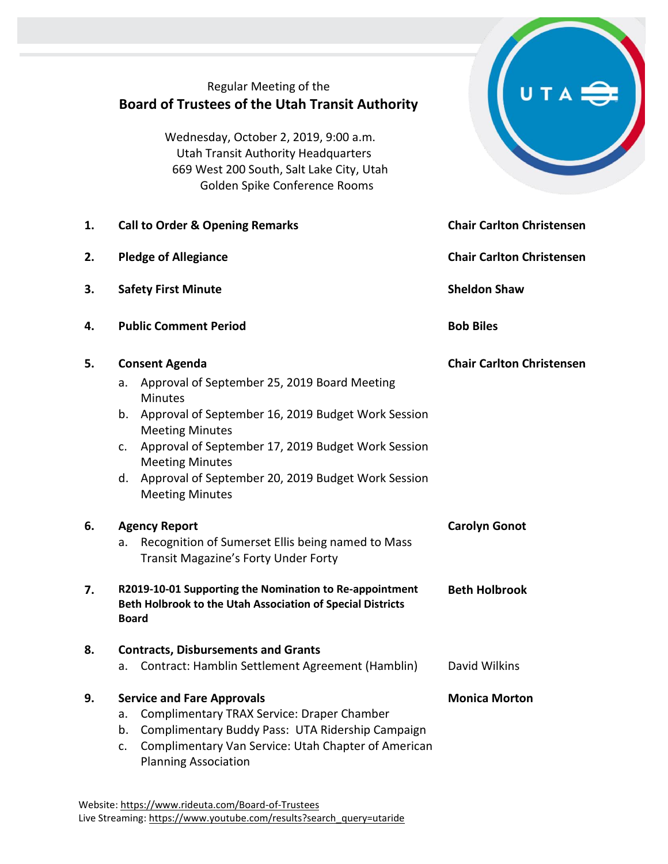# Regular Meeting of the **Board of Trustees of the Utah Transit Authority**

Wednesday, October 2, 2019, 9:00 a.m. Utah Transit Authority Headquarters 669 West 200 South, Salt Lake City, Utah Golden Spike Conference Rooms

|    |                                            | 669 West 200 South, Salt Lake City, Utah<br>Golden Spike Conference Rooms                                                                                                                                                 |                                  |
|----|--------------------------------------------|---------------------------------------------------------------------------------------------------------------------------------------------------------------------------------------------------------------------------|----------------------------------|
| 1. | <b>Call to Order &amp; Opening Remarks</b> |                                                                                                                                                                                                                           | <b>Chair Carlton Christensen</b> |
| 2. | <b>Pledge of Allegiance</b>                |                                                                                                                                                                                                                           | <b>Chair Carlton Christensen</b> |
| 3. | <b>Safety First Minute</b>                 |                                                                                                                                                                                                                           | <b>Sheldon Shaw</b>              |
| 4. | <b>Public Comment Period</b>               |                                                                                                                                                                                                                           | <b>Bob Biles</b>                 |
| 5. | <b>Consent Agenda</b>                      |                                                                                                                                                                                                                           | <b>Chair Carlton Christensen</b> |
|    | a.                                         | Approval of September 25, 2019 Board Meeting<br><b>Minutes</b>                                                                                                                                                            |                                  |
|    | b.                                         | Approval of September 16, 2019 Budget Work Session<br><b>Meeting Minutes</b>                                                                                                                                              |                                  |
|    | c.                                         | Approval of September 17, 2019 Budget Work Session<br><b>Meeting Minutes</b>                                                                                                                                              |                                  |
|    | d.                                         | Approval of September 20, 2019 Budget Work Session<br><b>Meeting Minutes</b>                                                                                                                                              |                                  |
| 6. | <b>Agency Report</b>                       |                                                                                                                                                                                                                           | <b>Carolyn Gonot</b>             |
|    | a.                                         | Recognition of Sumerset Ellis being named to Mass<br><b>Transit Magazine's Forty Under Forty</b>                                                                                                                          |                                  |
| 7. |                                            | R2019-10-01 Supporting the Nomination to Re-appointment<br><b>Beth Holbrook</b><br>Beth Holbrook to the Utah Association of Special Districts<br><b>Board</b>                                                             |                                  |
| 8  | <b>Contracts, Disbursements and Grants</b> |                                                                                                                                                                                                                           |                                  |
|    | а.                                         | Contract: Hamblin Settlement Agreement (Hamblin)                                                                                                                                                                          | David Wilkins                    |
| 9. | a.<br>b.<br>c.                             | <b>Service and Fare Approvals</b><br>Complimentary TRAX Service: Draper Chamber<br>Complimentary Buddy Pass: UTA Ridership Campaign<br>Complimentary Van Service: Utah Chapter of American<br><b>Planning Association</b> | <b>Monica Morton</b>             |

 $U T A \bigoplus$